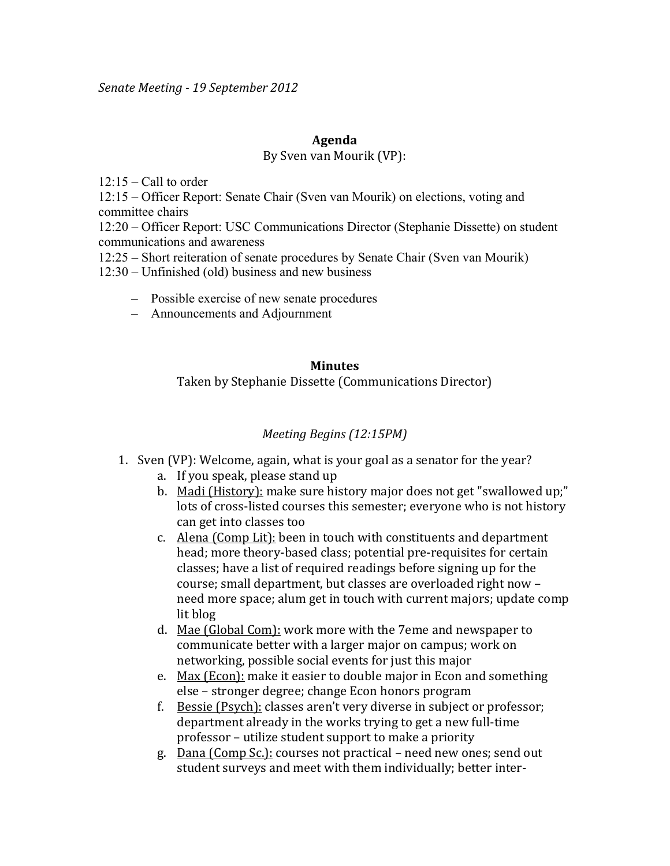#### **Agenda**

### By Sven van Mourik (VP):

 $12:15 -$ Call to order

12:15 – Officer Report: Senate Chair (Sven van Mourik) on elections, voting and committee chairs

12:20 – Officer Report: USC Communications Director (Stephanie Dissette) on student communications and awareness

12:25 – Short reiteration of senate procedures by Senate Chair (Sven van Mourik)

12:30 – Unfinished (old) business and new business

- Possible exercise of new senate procedures
- Announcements and Adjournment

# **Minutes** Taken by Stephanie Dissette (Communications Director)

## *Meeting Begins (12:15PM)*

- 1. Sven (VP): Welcome, again, what is your goal as a senator for the year?
	- a. If you speak, please stand up
	- b. Madi (History): make sure history major does not get "swallowed up;" lots of cross-listed courses this semester; everyone who is not history can get into classes too
	- c. Alena (Comp Lit): been in touch with constituents and department head; more theory-based class; potential pre-requisites for certain classes; have a list of required readings before signing up for the course; small department, but classes are overloaded right now need more space; alum get in touch with current majors; update comp lit blog
	- d. Mae (Global Com): work more with the 7eme and newspaper to communicate better with a larger major on campus; work on networking, possible social events for just this major
	- e. Max (Econ): make it easier to double major in Econ and something else – stronger degree; change Econ honors program
	- f. Bessie (Psych): classes aren't very diverse in subject or professor; department already in the works trying to get a new full-time professor – utilize student support to make a priority
	- g. Dana (Comp Sc.): courses not practical need new ones; send out student surveys and meet with them individually; better inter-